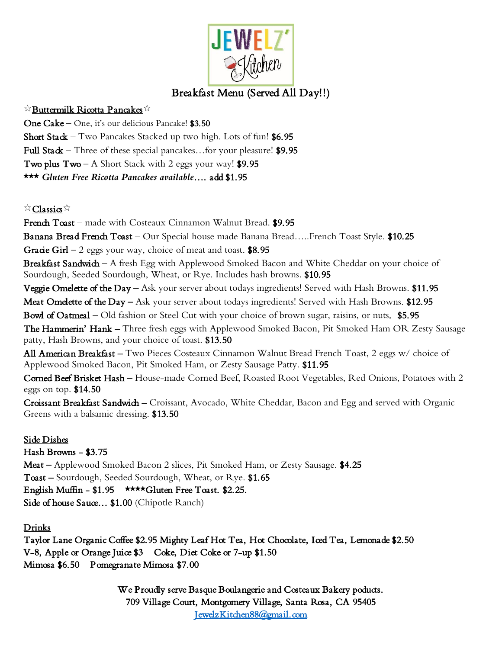

# Breakfast Menu (Served All Day!!)

## $\stackrel{\leftrightarrow}{\times}$ Buttermilk Ricotta Pancakes

One Cake – One, it's our delicious Pancake! \$3.50

Short Stack – Two Pancakes Stacked up two high. Lots of fun!  $$6.95$ 

Full Stack – Three of these special pancakes...for your pleasure! \$9.95

Two plus  $Two - A$  Short Stack with 2 eggs your way! \$9.95

\*\*\* *Gluten Free Ricotta Pancakes available*…. add \$1.95

## $\stackrel{\leftrightarrow}{\sim}$ Classics  $\stackrel{\leftrightarrow}{\sim}$

French Toast – made with Costeaux Cinnamon Walnut Bread. \$9.95

Banana Bread French Toast – Our Special house made Banana Bread.....French Toast Style. \$10.25

Gracie Girl – 2 eggs your way, choice of meat and toast.  $$8.95$ 

Breakfast Sandwich – A fresh Egg with Applewood Smoked Bacon and White Cheddar on your choice of Sourdough, Seeded Sourdough, Wheat, or Rye. Includes hash browns. \$10.95

Veggie Omelette of the Day – Ask your server about todays ingredients! Served with Hash Browns. \$11.95

Meat Omelette of the Day – Ask your server about todays ingredients! Served with Hash Browns. \$12.95

Bowl of Oatmeal – Old fashion or Steel Cut with your choice of brown sugar, raisins, or nuts. \$5.95

The Hammerin' Hank – Three fresh eggs with Applewood Smoked Bacon, Pit Smoked Ham OR Zesty Sausage patty, Hash Browns, and your choice of toast. \$13.50

All American Breakfast – Two Pieces Costeaux Cinnamon Walnut Bread French Toast, 2 eggs w/ choice of Applewood Smoked Bacon, Pit Smoked Ham, or Zesty Sausage Patty. \$11.95

Corned Beef Brisket Hash – House-made Corned Beef, Roasted Root Vegetables, Red Onions, Potatoes with 2 eggs on top. \$14.50

Croissant Breakfast Sandwich – Croissant, Avocado, White Cheddar, Bacon and Egg and served with Organic Greens with a balsamic dressing. \$13.50

## Side Dishes

Hash Browns - \$3.75

Meat – Applewood Smoked Bacon 2 slices, Pit Smoked Ham, or Zesty Sausage. \$4.25 Toast – Sourdough, Seeded Sourdough, Wheat, or Rye. \$1.65 English Muffin - \$1.95 \*\*\*\*Gluten Free Toast. \$2.25. Side of house Sauce... \$1.00 (Chipotle Ranch)

## Drinks

Taylor Lane Organic Coffee \$2.95 Mighty Leaf Hot Tea, Hot Chocolate, Iced Tea, Lemonade \$2.50 V-8, Apple or Orange Juice \$3 Coke, Diet Coke or 7-up \$1.50 Mimosa \$6.50 Pomegranate Mimosa \$7.00

> We Proudly serve Basque Boulangerie and Costeaux Bakery poducts. 709 Village Court, Montgomery Village, Santa Rosa, CA 95405 [JewelzKitchen88@gmail.com](mailto:JewelzKitchen88@gmail.com)